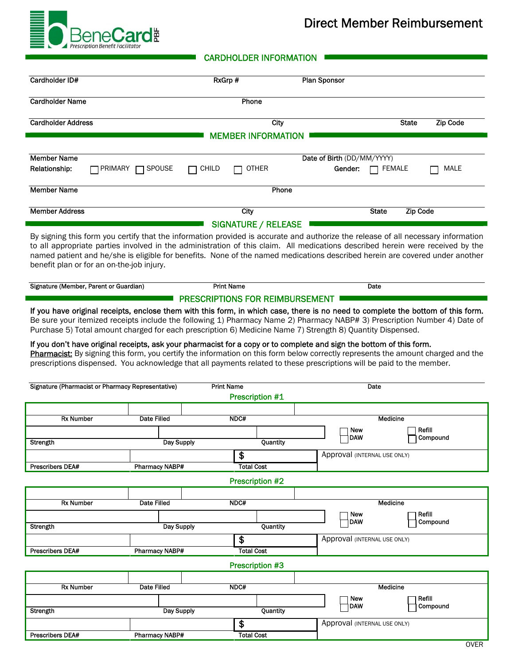

## Direct Member Reimbursement

**400 CARDHOLDER INFORMATION** 

| Cardholder ID#                                                                                                                                                                                                                                                                                                                                                                                                                                  |                       | RxGrp #                                                 |          | <b>Plan Sponsor</b>                            |                 |                    |  |
|-------------------------------------------------------------------------------------------------------------------------------------------------------------------------------------------------------------------------------------------------------------------------------------------------------------------------------------------------------------------------------------------------------------------------------------------------|-----------------------|---------------------------------------------------------|----------|------------------------------------------------|-----------------|--------------------|--|
| <b>Cardholder Name</b>                                                                                                                                                                                                                                                                                                                                                                                                                          |                       | Phone                                                   |          |                                                |                 |                    |  |
| <b>Cardholder Address</b>                                                                                                                                                                                                                                                                                                                                                                                                                       |                       |                                                         | City     |                                                | <b>State</b>    | <b>Zip Code</b>    |  |
|                                                                                                                                                                                                                                                                                                                                                                                                                                                 |                       | <b>MEMBER INFORMATION</b>                               |          |                                                |                 |                    |  |
| <b>Member Name</b>                                                                                                                                                                                                                                                                                                                                                                                                                              |                       |                                                         |          | Date of Birth (DD/MM/YYYY)                     |                 |                    |  |
| Relationship:<br>PRIMARY                                                                                                                                                                                                                                                                                                                                                                                                                        | SPOUSE                | CHILD<br><b>OTHER</b>                                   |          | Gender:                                        | FEMALE          | MALE               |  |
| <b>Member Name</b>                                                                                                                                                                                                                                                                                                                                                                                                                              | Phone                 |                                                         |          |                                                |                 |                    |  |
| <b>Member Address</b>                                                                                                                                                                                                                                                                                                                                                                                                                           |                       | City                                                    |          | <b>State</b>                                   | <b>Zip Code</b> |                    |  |
|                                                                                                                                                                                                                                                                                                                                                                                                                                                 |                       | <b>SIGNATURE / RELEASE</b>                              |          |                                                |                 |                    |  |
| By signing this form you certify that the information provided is accurate and authorize the release of all necessary information<br>to all appropriate parties involved in the administration of this claim. All medications described herein were received by the<br>named patient and he/she is eligible for benefits. None of the named medications described herein are covered under another<br>benefit plan or for an on-the-job injury. |                       |                                                         |          |                                                |                 |                    |  |
| Signature (Member, Parent or Guardian)                                                                                                                                                                                                                                                                                                                                                                                                          |                       | <b>Print Name</b>                                       |          | Date                                           |                 |                    |  |
| If you don't have original receipts, ask your pharmacist for a copy or to complete and sign the bottom of this form.<br>Pharmacist: By signing this form, you certify the information on this form below correctly represents the amount charged and the<br>prescriptions dispensed. You acknowledge that all payments related to these prescriptions will be paid to the member.<br>Signature (Pharmacist or Pharmacy Representative)          |                       | <b>Print Name</b>                                       |          | Date                                           |                 |                    |  |
|                                                                                                                                                                                                                                                                                                                                                                                                                                                 |                       | <b>Prescription #1</b>                                  |          |                                                |                 |                    |  |
| <b>Rx Number</b>                                                                                                                                                                                                                                                                                                                                                                                                                                | Date Filled           | NDC#                                                    |          | Medicine                                       |                 |                    |  |
|                                                                                                                                                                                                                                                                                                                                                                                                                                                 |                       |                                                         |          | Refill<br><b>New</b><br><b>DAW</b><br>Compound |                 |                    |  |
| Strengtn                                                                                                                                                                                                                                                                                                                                                                                                                                        | Day Supply            |                                                         | Quantity |                                                |                 |                    |  |
| Prescribers DEA#                                                                                                                                                                                                                                                                                                                                                                                                                                | <b>Pharmacy NABP#</b> | \$<br>Approval (INTERNAL USE ONLY)<br><b>Total Cost</b> |          |                                                |                 |                    |  |
| Prescription #2                                                                                                                                                                                                                                                                                                                                                                                                                                 |                       |                                                         |          |                                                |                 |                    |  |
|                                                                                                                                                                                                                                                                                                                                                                                                                                                 |                       |                                                         |          |                                                |                 |                    |  |
| <b>Rx Number</b>                                                                                                                                                                                                                                                                                                                                                                                                                                | <b>Date Filled</b>    | NDC#                                                    |          |                                                | Medicine        |                    |  |
| Strength                                                                                                                                                                                                                                                                                                                                                                                                                                        | Day Supply            |                                                         | Quantity | New<br><b>DAW</b>                              |                 | Refill<br>Compound |  |
|                                                                                                                                                                                                                                                                                                                                                                                                                                                 |                       | $\overline{\boldsymbol{\theta}}$                        |          | Approval (INTERNAL USE ONLY)                   |                 |                    |  |
| <b>Prescribers DEA#</b>                                                                                                                                                                                                                                                                                                                                                                                                                         | <b>Pharmacy NABP#</b> | <b>Total Cost</b>                                       |          |                                                |                 |                    |  |
|                                                                                                                                                                                                                                                                                                                                                                                                                                                 |                       | Prescription #3                                         |          |                                                |                 |                    |  |
| <b>Rx Number</b>                                                                                                                                                                                                                                                                                                                                                                                                                                | <b>Date Filled</b>    | NDC#                                                    |          |                                                | <b>Medicine</b> |                    |  |
|                                                                                                                                                                                                                                                                                                                                                                                                                                                 |                       |                                                         |          | New                                            |                 | Refill             |  |
| Strength                                                                                                                                                                                                                                                                                                                                                                                                                                        | Day Supply            |                                                         | Quantity | <b>DAW</b>                                     |                 | Compound           |  |
|                                                                                                                                                                                                                                                                                                                                                                                                                                                 |                       | \$                                                      |          | Approval (INTERNAL USE ONLY)                   |                 |                    |  |
| <b>Prescribers DEA#</b>                                                                                                                                                                                                                                                                                                                                                                                                                         | <b>Pharmacy NABP#</b> | <b>Total Cost</b>                                       |          |                                                |                 | <b>OVER</b>        |  |